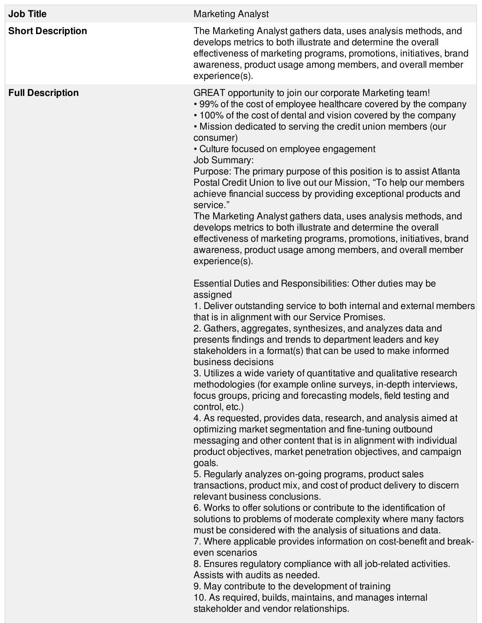| <b>Job Title</b>         | <b>Marketing Analyst</b>                                                                                                                                                                                                                                                                                                                                                                                                                                                                                                                                                                                                                                                                                                                                                                                                                                                                                                                                                                                                                                                                                                                                                                                                                                                                                                                                                                                                                                                                                                                                                                                                                                               |
|--------------------------|------------------------------------------------------------------------------------------------------------------------------------------------------------------------------------------------------------------------------------------------------------------------------------------------------------------------------------------------------------------------------------------------------------------------------------------------------------------------------------------------------------------------------------------------------------------------------------------------------------------------------------------------------------------------------------------------------------------------------------------------------------------------------------------------------------------------------------------------------------------------------------------------------------------------------------------------------------------------------------------------------------------------------------------------------------------------------------------------------------------------------------------------------------------------------------------------------------------------------------------------------------------------------------------------------------------------------------------------------------------------------------------------------------------------------------------------------------------------------------------------------------------------------------------------------------------------------------------------------------------------------------------------------------------------|
| <b>Short Description</b> | The Marketing Analyst gathers data, uses analysis methods, and<br>develops metrics to both illustrate and determine the overall<br>effectiveness of marketing programs, promotions, initiatives, brand<br>awareness, product usage among members, and overall member<br>experience(s).                                                                                                                                                                                                                                                                                                                                                                                                                                                                                                                                                                                                                                                                                                                                                                                                                                                                                                                                                                                                                                                                                                                                                                                                                                                                                                                                                                                 |
| <b>Full Description</b>  | GREAT opportunity to join our corporate Marketing team!<br>• 99% of the cost of employee healthcare covered by the company<br>• 100% of the cost of dental and vision covered by the company<br>• Mission dedicated to serving the credit union members (our<br>consumer)<br>• Culture focused on employee engagement<br><b>Job Summary:</b><br>Purpose: The primary purpose of this position is to assist Atlanta<br>Postal Credit Union to live out our Mission, "To help our members<br>achieve financial success by providing exceptional products and<br>service."<br>The Marketing Analyst gathers data, uses analysis methods, and<br>develops metrics to both illustrate and determine the overall<br>effectiveness of marketing programs, promotions, initiatives, brand<br>awareness, product usage among members, and overall member<br>experience(s).                                                                                                                                                                                                                                                                                                                                                                                                                                                                                                                                                                                                                                                                                                                                                                                                      |
|                          | Essential Duties and Responsibilities: Other duties may be<br>assigned<br>1. Deliver outstanding service to both internal and external members<br>that is in alignment with our Service Promises.<br>2. Gathers, aggregates, synthesizes, and analyzes data and<br>presents findings and trends to department leaders and key<br>stakeholders in a format(s) that can be used to make informed<br>business decisions<br>3. Utilizes a wide variety of quantitative and qualitative research<br>methodologies (for example online surveys, in-depth interviews,<br>focus groups, pricing and forecasting models, field testing and<br>control, etc.)<br>4. As requested, provides data, research, and analysis aimed at<br>optimizing market segmentation and fine-tuning outbound<br>messaging and other content that is in alignment with individual<br>product objectives, market penetration objectives, and campaign<br>goals.<br>5. Regularly analyzes on-going programs, product sales<br>transactions, product mix, and cost of product delivery to discern<br>relevant business conclusions.<br>6. Works to offer solutions or contribute to the identification of<br>solutions to problems of moderate complexity where many factors<br>must be considered with the analysis of situations and data.<br>7. Where applicable provides information on cost-benefit and break-<br>even scenarios<br>8. Ensures regulatory compliance with all job-related activities.<br>Assists with audits as needed.<br>9. May contribute to the development of training<br>10. As required, builds, maintains, and manages internal<br>stakeholder and vendor relationships. |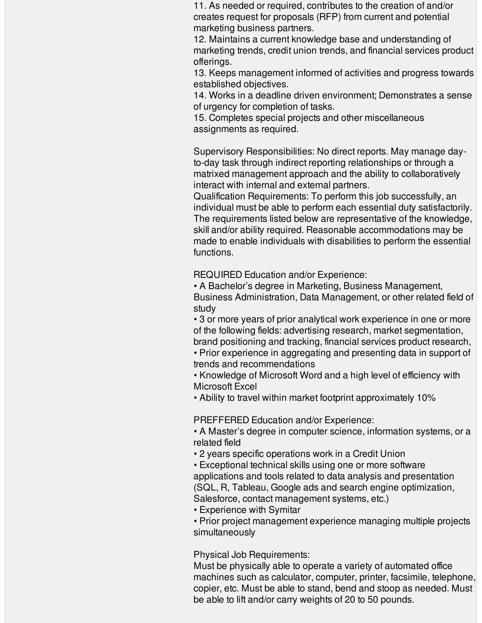11. As needed or required, contributes to the creation of and/or creates request for proposals (RFP) from current and potential marketing business partners.

12. Maintains a current knowledge base and understanding of marketing trends, credit union trends, and financial services product offerings.

13. Keeps management informed of activities and progress towards established objectives.

14. Works in a deadline driven environment; Demonstrates a sense of urgency for completion of tasks.

15. Completes special projects and other miscellaneous assignments as required.

Supervisory Responsibilities: No direct reports. May manage dayto-day task through indirect reporting relationships or through a matrixed management approach and the ability to collaboratively interact with internal and external partners.

Qualification Requirements: To perform this job successfully, an individual must be able to perform each essential duty satisfactorily. The requirements listed below are representative of the knowledge, skill and/or ability required. Reasonable accommodations may be made to enable individuals with disabilities to perform the essential functions.

REQUIRED Education and/or Experience:

• A Bachelor's degree in Marketing, Business Management, Business Administration, Data Management, or other related field of study

• 3 or more years of prior analytical work experience in one or more of the following fields: advertising research, market segmentation, brand positioning and tracking, financial services product research,

• Prior experience in aggregating and presenting data in support of trends and recommendations

• Knowledge of Microsoft Word and a high level of efficiency with Microsoft Excel

• Ability to travel within market footprint approximately 10%

PREFFERED Education and/or Experience:

• A Master's degree in computer science, information systems, or a related field

• 2 years specific operations work in a Credit Union

• Exceptional technical skills using one or more software applications and tools related to data analysis and presentation (SQL, R, Tableau, Google ads and search engine optimization, Salesforce, contact management systems, etc.)

• Experience with Symitar

• Prior project management experience managing multiple projects simultaneously

Physical Job Requirements:

Must be physically able to operate a variety of automated office machines such as calculator, computer, printer, facsimile, telephone, copier, etc. Must be able to stand, bend and stoop as needed. Must be able to lift and/or carry weights of 20 to 50 pounds.